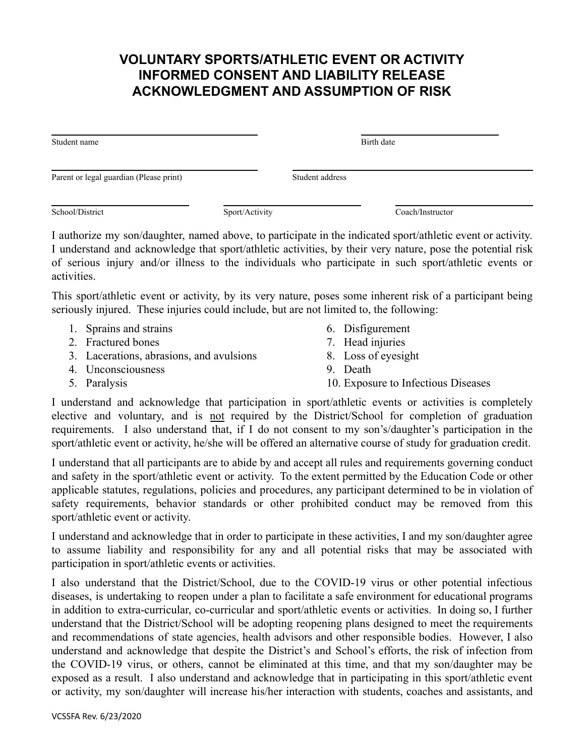## **VOLUNTARY SPORTS/ATHLETIC EVENT OR ACTIVITY INFORMED CONSENT AND LIABILITY RELEASE ACKNOWLEDGMENT AND ASSUMPTION OF RISK**

| Student name                            | Birth date      |
|-----------------------------------------|-----------------|
| Parent or legal guardian (Please print) | Student address |
|                                         |                 |

School/District Sport/Activity Coach/Instructor

activities.

I authorize my son/daughter, named above, to participate in the indicated sport/athletic event or activity. I understand and acknowledge that sport/athletic activities, by their very nature, pose the potential risk of serious injury and/or illness to the individuals who participate in such sport/athletic events or

This sport/athletic event or activity, by its very nature, poses some inherent risk of a participant being seriously injured. These injuries could include, but are not limited to, the following:

- 1. Sprains and strains
- 2. Fractured bones
- 3. Lacerations, abrasions, and avulsions
- 4. Unconsciousness
- 5. Paralysis
- 6. Disfigurement
- 7. Head injuries
- 8. Loss of eyesight
- 9. Death
- 10. Exposure to Infectious Diseases

I understand and acknowledge that participation in sport/athletic events or activities is completely elective and voluntary, and is not required by the District/School for completion of graduation requirements. I also understand that, if I do not consent to my son's/daughter's participation in the sport/athletic event or activity, he/she will be offered an alternative course of study for graduation credit.

I understand that all participants are to abide by and accept all rules and requirements governing conduct and safety in the sport/athletic event or activity. To the extent permitted by the Education Code or other applicable statutes, regulations, policies and procedures, any participant determined to be in violation of safety requirements, behavior standards or other prohibited conduct may be removed from this sport/athletic event or activity.

I understand and acknowledge that in order to participate in these activities, I and my son/daughter agree to assume liability and responsibility for any and all potential risks that may be associated with participation in sport/athletic events or activities.

I also understand that the District/School, due to the COVID-19 virus or other potential infectious diseases, is undertaking to reopen under a plan to facilitate a safe environment for educational programs in addition to extra-curricular, co-curricular and sport/athletic events or activities. In doing so, I further understand that the District/School will be adopting reopening plans designed to meet the requirements and recommendations of state agencies, health advisors and other responsible bodies. However, I also understand and acknowledge that despite the District's and School's efforts, the risk of infection from the COVID-19 virus, or others, cannot be eliminated at this time, and that my son/daughter may be exposed as a result. I also understand and acknowledge that in participating in this sport/athletic event or activity, my son/daughter will increase his/her interaction with students, coaches and assistants, and